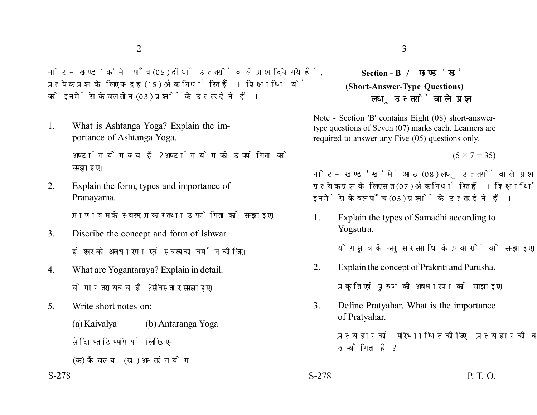नोट- खण्ड 'क' में पाँच (05) दीर्घ उत्तरों वाले प्रश्न दिये गये हैं. प्रत्येक प्रश्न के लिए पन्द्रह (15) अंक निर्धारित हैं। शिक्षार्थियों को इनमें से केवल तीन (03) प्रश्नों के उत्तर देने हैं।

1. What is Ashtanga Yoga? Explain the importance of Ashtanga Yoga.

> अष्टांग योग क्या है? अष्टांग योग की उपयोगिता को समझाइए।

2. Explain the form, types and importance of Pranayama.

प्राणायाम के स्वरूप, प्रकार तथा उपयोगिता को समझाइए।

- 3. Discribe the concept and form of Ishwar. ईश्वर की अवधारणा एवं स्वरूप का वर्णन कोजिए।
- 4. What are Yogantaraya? Explain in detail. योगान्तराय क्या है? सविस्तार समझाइए।
- 5. Write short notes on:

(a) Kaivalya (b) Antaranga Yoga संक्षिप्त टिप्पणियां लिखिए-

(क) कैवल्य (ख) अन्तरंग योग

## **Section - B (Short-Answer-Type Questions)** लघ उत्तरों वाले प्रश्न

Note - Section 'B' contains Eight (08) short-answertype questions of Seven (07) marks each. Learners are required to answer any Five (05) questions only.

 $(5 \times 7 = 35)$ 

नोट- खण्ड 'ख' में आठ (08) लघु उत्तरों वाले प्रश्न दिये गये हैं, प्रत्येक प्रश्न के लिए सात (07) अंक निर्धारित हैं। शिक्षार्थियों को इनमें से केवल पाँच (05) प्रश्नों के उत्तर देने हैं।

1. Explain the types of Samadhi according to Yogsutra.

योग सूत्र के अनुसार समाधि के प्रकारों को समझाइए।

2. Explain the concept of Prakriti and Purusha.

प्रकृति एवं पुरुष की अवधारणा को समझाइए।

3. Define Pratyahar. What is the importance of Pratyahar.

> प्रत्याहार को परिभाषित कीजिए। प्रत्याहार की क्या उपयोगिता है ?